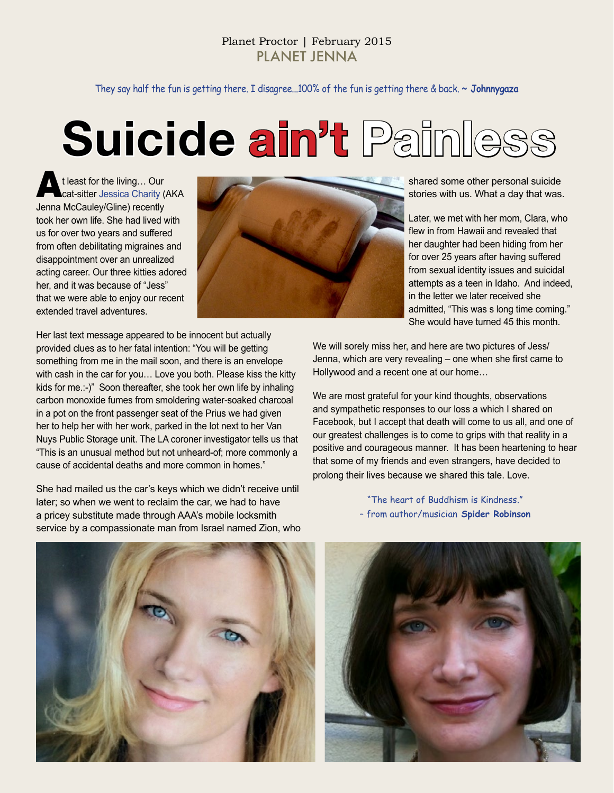They say half the fun is getting there. I disagree...100% of the fun is getting there & back. **~ Johnnygaza**

# **Suicide ain't Painless**

At least for the living… Our cat-sitter Jessica Charity (AKA Jenna McCauley/Gline) recently took her own life. She had lived with us for over two years and suffered from often debilitating migraines and disappointment over an unrealized acting career. Our three kitties adored her, and it was because of "Jess" that we were able to enjoy our recent extended travel adventures.



shared some other personal suicide stories with us. What a day that was.

Later, we met with her mom, Clara, who flew in from Hawaii and revealed that her daughter had been hiding from her for over 25 years after having suffered from sexual identity issues and suicidal attempts as a teen in Idaho. And indeed, in the letter we later received she admitted, "This was s long time coming." She would have turned 45 this month.

Her last text message appeared to be innocent but actually provided clues as to her fatal intention: "You will be getting something from me in the mail soon, and there is an envelope with cash in the car for you… Love you both. Please kiss the kitty kids for me.:-)" Soon thereafter, she took her own life by inhaling carbon monoxide fumes from smoldering water-soaked charcoal in a pot on the front passenger seat of the Prius we had given her to help her with her work, parked in the lot next to her Van Nuys Public Storage unit. The LA coroner investigator tells us that "This is an unusual method but not unheard-of; more commonly a cause of accidental deaths and more common in homes."

She had mailed us the car's keys which we didn't receive until later; so when we went to reclaim the car, we had to have a pricey substitute made through AAA's mobile locksmith service by a compassionate man from Israel named Zion, who We will sorely miss her, and here are two pictures of Jess/ Jenna, which are very revealing – one when she first came to Hollywood and a recent one at our home…

We are most grateful for your kind thoughts, observations and sympathetic responses to our loss a which I shared on Facebook, but I accept that death will come to us all, and one of our greatest challenges is to come to grips with that reality in a positive and courageous manner. It has been heartening to hear that some of my friends and even strangers, have decided to prolong their lives because we shared this tale. Love.

> "The heart of Buddhism is Kindness." – from author/musician **Spider Robinson**



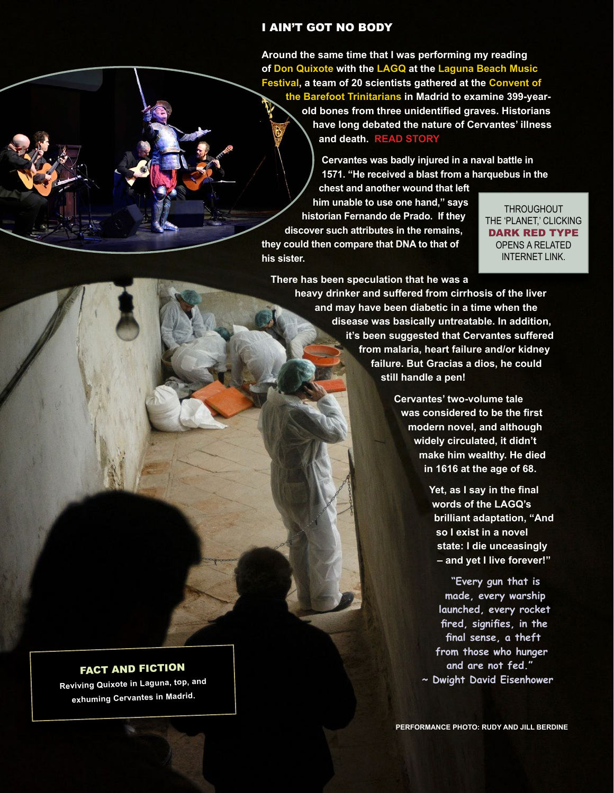#### I AIN'T GOT NO BODY

**Around the same time that I was performing my reading of Don Quixote with the LAGQ at the Laguna Beach Music Festival, a team of 20 scientists gathered at the Convent of the Barefoot Trinitarians in Madrid to examine 399-yearold bones from three unidentified graves. Historians have long debated the nature of Cervantes' illness and death. [READ STORY](http://www.theguardian.com/books/2011/jul/25/cervantes-bones-madrid-convent-search)**

> **Cervantes was badly injured in a naval battle in 1571. "He received a blast from a harquebus in the**

**chest and another wound that left him unable to use one hand," says historian Fernando de Prado. If they discover such attributes in the remains, they could then compare that DNA to that of his sister.** 

**THROUGHOUT** THE 'PLANET,' CLICKING DARK RED TYPE OPENS A RELATED INTERNET LINK.

**There has been speculation that he was a heavy drinker and suffered from cirrhosis of the liver** 

**and may have been diabetic in a time when the disease was basically untreatable. In addition, it's been suggested that Cervantes suffered from malaria, heart failure and/or kidney failure. But Gracias a dios, he could still handle a pen!** 

> **Cervantes' two-volume tale was considered to be the first modern novel, and although widely circulated, it didn't make him wealthy. He died in 1616 at the age of 68.**

> > **Yet, as I say in the final words of the LAGQ's brilliant adaptation, "And so I exist in a novel state: I die unceasingly – and yet I live forever!"**

**"Every gun that is made, every warship launched, every rocket fired, signifies, in the final sense, a theft from those who hunger and are not fed." ~ Dwight David Eisenhower**

**PERFORMANCE PHOTO: RUDY AND JILL BERDINE**

FACT AND FICTION

**Reviving Quixote in Laguna, top, an<sup>d</sup> exhuming Cervantes in Madrid.**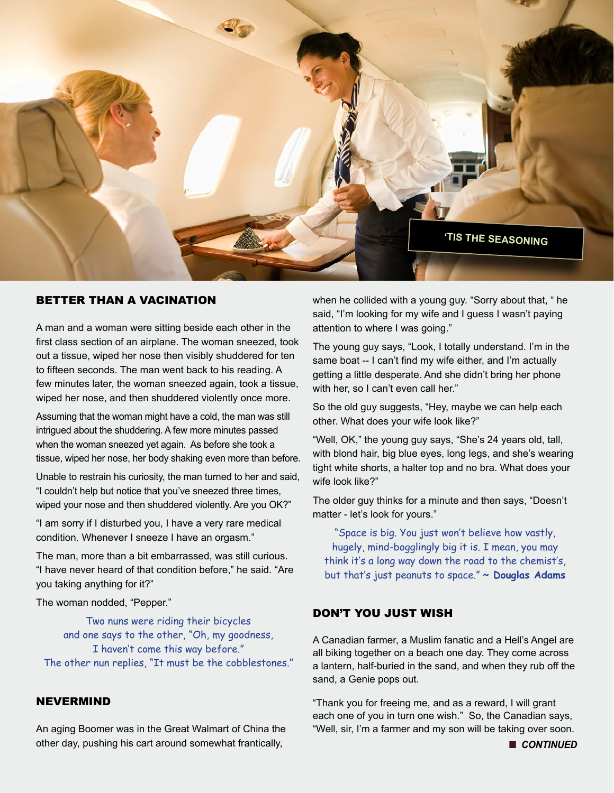

#### BETTER THAN A VACINATION

A man and a woman were sitting beside each other in the first class section of an airplane. The woman sneezed, took out a tissue, wiped her nose then visibly shuddered for ten to fifteen seconds. The man went back to his reading. A few minutes later, the woman sneezed again, took a tissue, wiped her nose, and then shuddered violently once more.

Assuming that the woman might have a cold, the man was still intrigued about the shuddering. A few more minutes passed when the woman sneezed yet again. As before she took a tissue, wiped her nose, her body shaking even more than before.

Unable to restrain his curiosity, the man turned to her and said, "I couldn't help but notice that you've sneezed three times, wiped your nose and then shuddered violently. Are you OK?"

"I am sorry if I disturbed you, I have a very rare medical condition. Whenever I sneeze I have an orgasm."

The man, more than a bit embarrassed, was still curious. "I have never heard of that condition before," he said. "Are you taking anything for it?"

The woman nodded, "Pepper."

Two nuns were riding their bicycles and one says to the other, "Oh, my goodness, I haven't come this way before." The other nun replies, "It must be the cobblestones."

#### NEVERMIND

An aging Boomer was in the Great Walmart of China the other day, pushing his cart around somewhat frantically,

when he collided with a young guy. "Sorry about that, " he said, "I'm looking for my wife and I guess I wasn't paying attention to where I was going."

The young guy says, "Look, I totally understand. I'm in the same boat -- I can't find my wife either, and I'm actually getting a little desperate. And she didn't bring her phone with her, so I can't even call her."

So the old guy suggests, "Hey, maybe we can help each other. What does your wife look like?"

"Well, OK," the young guy says, "She's 24 years old, tall, with blond hair, big blue eyes, long legs, and she's wearing tight white shorts, a halter top and no bra. What does your wife look like?"

The older guy thinks for a minute and then says, "Doesn't matter - let's look for yours."

"Space is big. You just won't believe how vastly, hugely, mind-bogglingly big it is. I mean, you may think it's a long way down the road to the chemist's, but that's just peanuts to space." **~ Douglas Adams**

#### DON'T YOU JUST WISH

A Canadian farmer, a Muslim fanatic and a Hell's Angel are all biking together on a beach one day. They come across a lantern, half-buried in the sand, and when they rub off the sand, a Genie pops out.

"Thank you for freeing me, and as a reward, I will grant each one of you in turn one wish." So, the Canadian says, "Well, sir, I'm a farmer and my son will be taking over soon.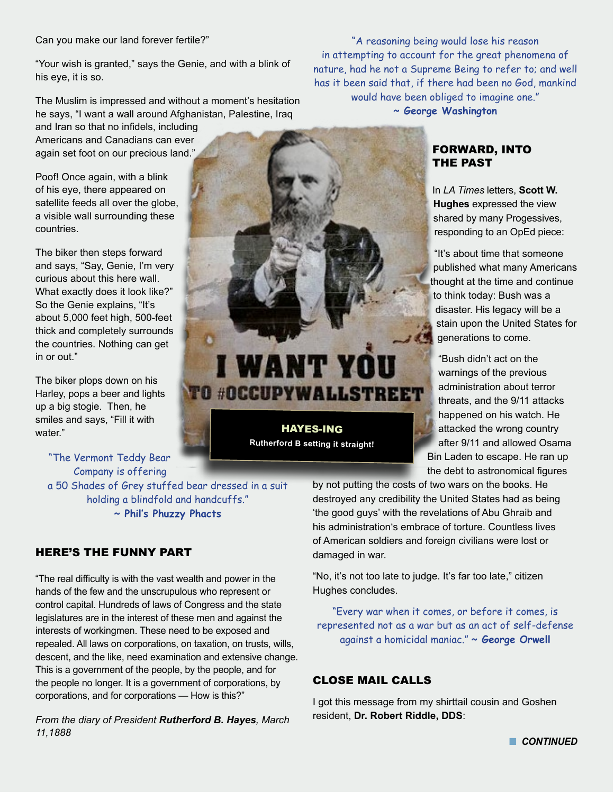"Your wish is granted," says the Genie, and with a blink of his eye, it is so.

The Muslim is impressed and without a moment's hesitation he says, "I want a wall around Afghanistan, Palestine, Iraq

and Iran so that no infidels, including Americans and Canadians can ever again set foot on our precious land."

Poof! Once again, with a blink of his eye, there appeared on satellite feeds all over the globe, a visible wall surrounding these countries.

The biker then steps forward and says, "Say, Genie, I'm very curious about this here wall. What exactly does it look like?" So the Genie explains, "It's about 5,000 feet high, 500-feet thick and completely surrounds the countries. Nothing can get in or out."

The biker plops down on his Harley, pops a beer and lights up a big stogie. Then, he smiles and says, "Fill it with water."

"The Vermont Teddy Bear Company is offering a 50 Shades of Grey stuffed bear dressed in a suit holding a blindfold and handcuffs." **~ Phil's Phuzzy Phacts**

# HERE'S THE FUNNY PART

"The real difficulty is with the vast wealth and power in the hands of the few and the unscrupulous who represent or control capital. Hundreds of laws of Congress and the state legislatures are in the interest of these men and against the interests of workingmen. These need to be exposed and repealed. All laws on corporations, on taxation, on trusts, wills, descent, and the like, need examination and extensive change. This is a government of the people, by the people, and for the people no longer. It is a government of corporations, by corporations, and for corporations — How is this?"

*From the diary of President Rutherford B. Hayes, March 11,1888*

"A reasoning being would lose his reason in attempting to account for the great phenomena of nature, had he not a Supreme Being to refer to; and well has it been said that, if there had been no God, mankind would have been obliged to imagine one."

**~ George Washington**

# FORWARD, INTO THE PAST

In *LA Times* letters, **Scott W. Hughes** expressed the view shared by many Progessives, responding to an OpEd piece:

"It's about time that someone published what many Americans thought at the time and continue to think today: Bush was a disaster. His legacy will be a stain upon the United States for generations to come.

"Bush didn't act on the warnings of the previous administration about terror threats, and the 9/11 attacks happened on his watch. He attacked the wrong country after 9/11 and allowed Osama Bin Laden to escape. He ran up the debt to astronomical figures

by not putting the costs of two wars on the books. He destroyed any credibility the United States had as being 'the good guys' with the revelations of Abu Ghraib and his administration's embrace of torture. Countless lives of American soldiers and foreign civilians were lost or damaged in war.

"No, it's not too late to judge. It's far too late," citizen Hughes concludes.

"Every war when it comes, or before it comes, is represented not as a war but as an act of self-defense against a homicidal maniac." **~ George Orwell**

# CLOSE MAIL CALLS

HAYES-ING **Rutherford B setting it straight!**

**I WANT YOU** 

**TO #OCCUPYWALLSTREET** 

I got this message from my shirttail cousin and Goshen resident, **Dr. Robert Riddle, DDS**:

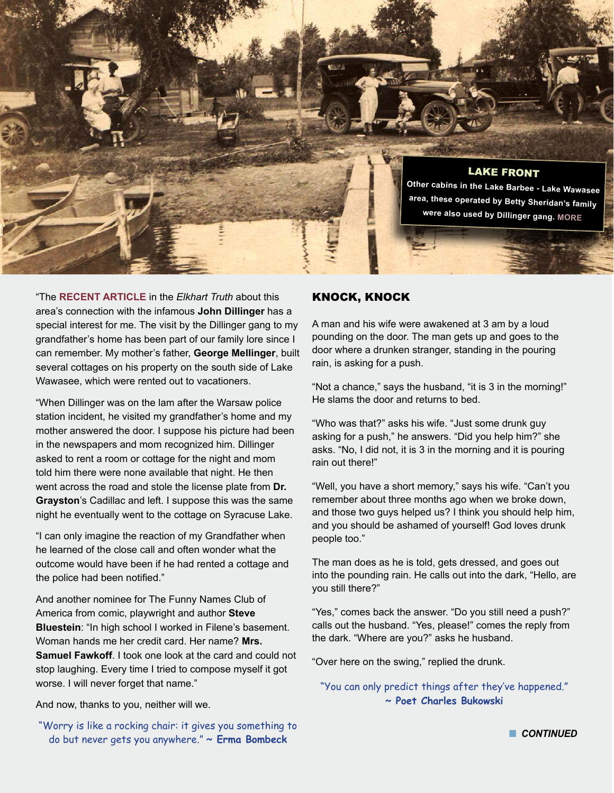

"The **[RECENT ARTICLE](http://www.elkharttruth.com/news/Ask-the-Truth/2015/02/07/Mafia-activity-in-Elkhart-Are-the-rumors-fact-or-fiction.html)** in the *Elkhart Truth* about this area's connection with the infamous **John Dillinger** has a special interest for me. The visit by the Dillinger gang to my grandfather's home has been part of our family lore since I can remember. My mother's father, **George Mellinger**, built several cottages on his property on the south side of Lake Wawasee, which were rented out to vacationers.

"When Dillinger was on the lam after the Warsaw police station incident, he visited my grandfather's home and my mother answered the door. I suppose his picture had been in the newspapers and mom recognized him. Dillinger asked to rent a room or cottage for the night and mom told him there were none available that night. He then went across the road and stole the license plate from **Dr. Grayston**'s Cadillac and left. I suppose this was the same night he eventually went to the cottage on Syracuse Lake.

"I can only imagine the reaction of my Grandfather when he learned of the close call and often wonder what the outcome would have been if he had rented a cottage and the police had been notified."

And another nominee for The Funny Names Club of America from comic, playwright and author **Steve Bluestein**: "In high school I worked in Filene's basement. Woman hands me her credit card. Her name? **Mrs. Samuel Fawkoff**. I took one look at the card and could not stop laughing. Every time I tried to compose myself it got worse. I will never forget that name."

## KNOCK, KNOCK

A man and his wife were awakened at 3 am by a loud pounding on the door. The man gets up and goes to the door where a drunken stranger, standing in the pouring rain, is asking for a push.

"Not a chance," says the husband, "it is 3 in the morning!" He slams the door and returns to bed.

"Who was that?" asks his wife. "Just some drunk guy asking for a push," he answers. "Did you help him?" she asks. "No, I did not, it is 3 in the morning and it is pouring rain out there!"

"Well, you have a short memory," says his wife. "Can't you remember about three months ago when we broke down, and those two guys helped us? I think you should help him, and you should be ashamed of yourself! God loves drunk people too."

The man does as he is told, gets dressed, and goes out into the pounding rain. He calls out into the dark, "Hello, are you still there?"

"Yes," comes back the answer. "Do you still need a push?" calls out the husband. "Yes, please!" comes the reply from the dark. "Where are you?" asks he husband.

"Over here on the swing," replied the drunk.

"You can only predict things after they've happened." **~ Poet Charles Bukowski**

And now, thanks to you, neither will we.

"Worry is like a rocking chair: it gives you something to do but never gets you anywhere." **~ Erma Bombeck**

**n** CONTINUED